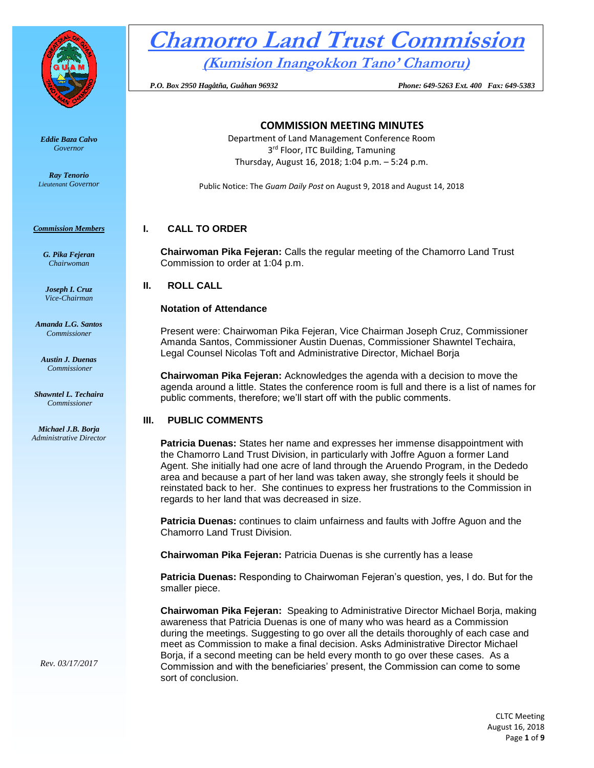

*Eddie Baza Calvo Governor* 

*Ray Tenorio Lieutenant Governor* 

*Commission Members*

*G. Pika Fejeran Chairwoman*

*Joseph I. Cruz Vice-Chairman*

*Amanda L.G. Santos Commissioner*

*Austin J. Duenas Commissioner*

*Shawntel L. Techaira Commissioner*

*Michael J.B. Borja Administrative Director*

# **Chamorro Land Trust Commission**

**(Kumision Inangokkon Tano' Chamoru)**

 *P.O. Box 2950 Hagåtña, Guåhan 96932 Phone: 649-5263 Ext. 400 Fax: 649-5383*

# **COMMISSION MEETING MINUTES**

Department of Land Management Conference Room 3<sup>rd</sup> Floor, ITC Building, Tamuning Thursday, August 16, 2018; 1:04 p.m. – 5:24 p.m.

Public Notice: The *Guam Daily Post* on August 9, 2018 and August 14, 2018

# **I. CALL TO ORDER**

**Chairwoman Pika Fejeran:** Calls the regular meeting of the Chamorro Land Trust Commission to order at 1:04 p.m.

**II. ROLL CALL**

# **Notation of Attendance**

Present were: Chairwoman Pika Fejeran, Vice Chairman Joseph Cruz, Commissioner Amanda Santos, Commissioner Austin Duenas, Commissioner Shawntel Techaira, Legal Counsel Nicolas Toft and Administrative Director, Michael Borja

**Chairwoman Pika Fejeran:** Acknowledges the agenda with a decision to move the agenda around a little. States the conference room is full and there is a list of names for public comments, therefore; we'll start off with the public comments.

# **III. PUBLIC COMMENTS**

**Patricia Duenas:** States her name and expresses her immense disappointment with the Chamorro Land Trust Division, in particularly with Joffre Aguon a former Land Agent. She initially had one acre of land through the Aruendo Program, in the Dededo area and because a part of her land was taken away, she strongly feels it should be reinstated back to her. She continues to express her frustrations to the Commission in regards to her land that was decreased in size.

**Patricia Duenas:** continues to claim unfairness and faults with Joffre Aguon and the Chamorro Land Trust Division.

**Chairwoman Pika Fejeran:** Patricia Duenas is she currently has a lease

**Patricia Duenas:** Responding to Chairwoman Fejeran's question, yes, I do. But for the smaller piece.

**Chairwoman Pika Fejeran:** Speaking to Administrative Director Michael Borja, making awareness that Patricia Duenas is one of many who was heard as a Commission during the meetings. Suggesting to go over all the details thoroughly of each case and meet as Commission to make a final decision. Asks Administrative Director Michael Borja, if a second meeting can be held every month to go over these cases. As a Commission and with the beneficiaries' present, the Commission can come to some sort of conclusion.

*Rev. 03/17/2017*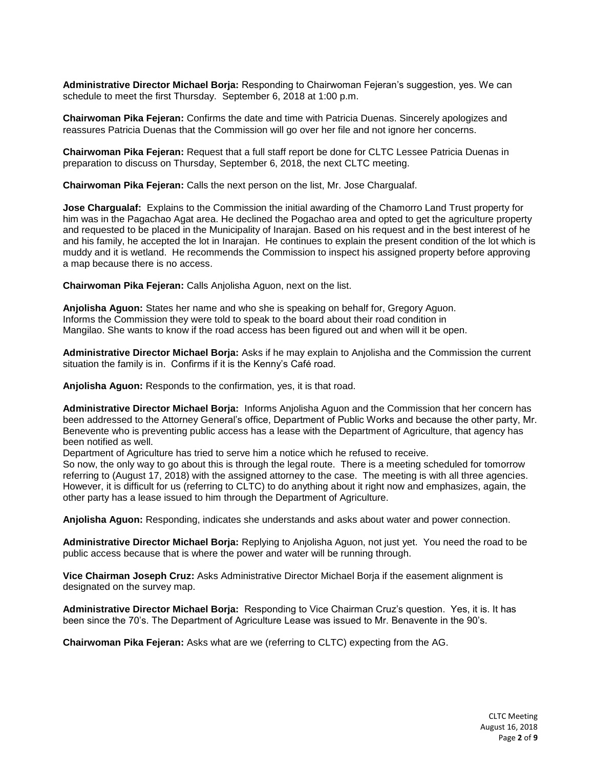**Administrative Director Michael Borja:** Responding to Chairwoman Fejeran's suggestion, yes. We can schedule to meet the first Thursday. September 6, 2018 at 1:00 p.m.

**Chairwoman Pika Fejeran:** Confirms the date and time with Patricia Duenas. Sincerely apologizes and reassures Patricia Duenas that the Commission will go over her file and not ignore her concerns.

**Chairwoman Pika Fejeran:** Request that a full staff report be done for CLTC Lessee Patricia Duenas in preparation to discuss on Thursday, September 6, 2018, the next CLTC meeting.

**Chairwoman Pika Fejeran:** Calls the next person on the list, Mr. Jose Chargualaf.

**Jose Chargualaf:** Explains to the Commission the initial awarding of the Chamorro Land Trust property for him was in the Pagachao Agat area. He declined the Pogachao area and opted to get the agriculture property and requested to be placed in the Municipality of Inarajan. Based on his request and in the best interest of he and his family, he accepted the lot in Inarajan. He continues to explain the present condition of the lot which is muddy and it is wetland. He recommends the Commission to inspect his assigned property before approving a map because there is no access.

**Chairwoman Pika Fejeran:** Calls Anjolisha Aguon, next on the list.

**Anjolisha Aguon:** States her name and who she is speaking on behalf for, Gregory Aguon. Informs the Commission they were told to speak to the board about their road condition in Mangilao. She wants to know if the road access has been figured out and when will it be open.

**Administrative Director Michael Borja:** Asks if he may explain to Anjolisha and the Commission the current situation the family is in. Confirms if it is the Kenny's Café road.

**Anjolisha Aguon:** Responds to the confirmation, yes, it is that road.

**Administrative Director Michael Borja:** Informs Anjolisha Aguon and the Commission that her concern has been addressed to the Attorney General's office, Department of Public Works and because the other party, Mr. Benevente who is preventing public access has a lease with the Department of Agriculture, that agency has been notified as well.

Department of Agriculture has tried to serve him a notice which he refused to receive.

So now, the only way to go about this is through the legal route. There is a meeting scheduled for tomorrow referring to (August 17, 2018) with the assigned attorney to the case. The meeting is with all three agencies. However, it is difficult for us (referring to CLTC) to do anything about it right now and emphasizes, again, the other party has a lease issued to him through the Department of Agriculture.

**Anjolisha Aguon:** Responding, indicates she understands and asks about water and power connection.

**Administrative Director Michael Borja:** Replying to Anjolisha Aguon, not just yet. You need the road to be public access because that is where the power and water will be running through.

**Vice Chairman Joseph Cruz:** Asks Administrative Director Michael Borja if the easement alignment is designated on the survey map.

**Administrative Director Michael Borja:** Responding to Vice Chairman Cruz's question. Yes, it is. It has been since the 70's. The Department of Agriculture Lease was issued to Mr. Benavente in the 90's.

**Chairwoman Pika Fejeran:** Asks what are we (referring to CLTC) expecting from the AG.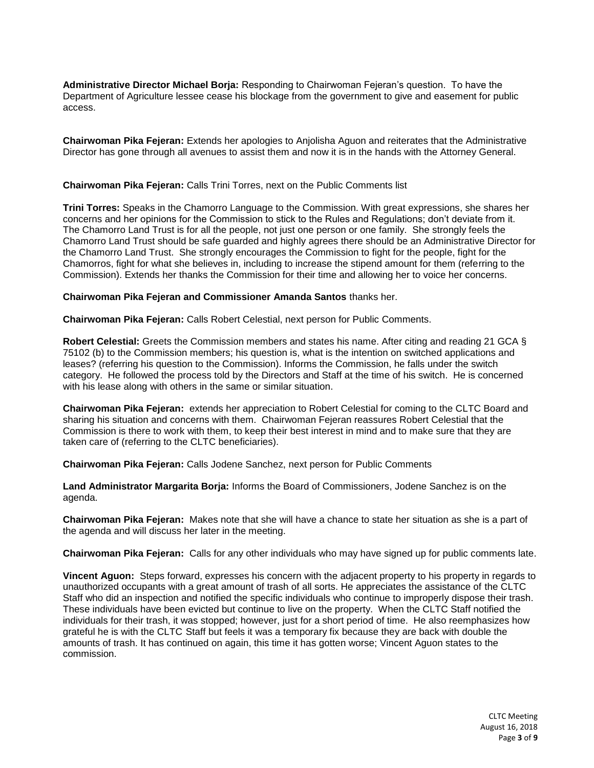**Administrative Director Michael Borja:** Responding to Chairwoman Fejeran's question. To have the Department of Agriculture lessee cease his blockage from the government to give and easement for public access.

**Chairwoman Pika Fejeran:** Extends her apologies to Anjolisha Aguon and reiterates that the Administrative Director has gone through all avenues to assist them and now it is in the hands with the Attorney General.

#### **Chairwoman Pika Fejeran:** Calls Trini Torres, next on the Public Comments list

**Trini Torres:** Speaks in the Chamorro Language to the Commission. With great expressions, she shares her concerns and her opinions for the Commission to stick to the Rules and Regulations; don't deviate from it. The Chamorro Land Trust is for all the people, not just one person or one family. She strongly feels the Chamorro Land Trust should be safe guarded and highly agrees there should be an Administrative Director for the Chamorro Land Trust. She strongly encourages the Commission to fight for the people, fight for the Chamorros, fight for what she believes in, including to increase the stipend amount for them (referring to the Commission). Extends her thanks the Commission for their time and allowing her to voice her concerns.

#### **Chairwoman Pika Fejeran and Commissioner Amanda Santos** thanks her.

**Chairwoman Pika Fejeran:** Calls Robert Celestial, next person for Public Comments.

**Robert Celestial:** Greets the Commission members and states his name. After citing and reading 21 GCA § 75102 (b) to the Commission members; his question is, what is the intention on switched applications and leases? (referring his question to the Commission). Informs the Commission, he falls under the switch category. He followed the process told by the Directors and Staff at the time of his switch. He is concerned with his lease along with others in the same or similar situation.

**Chairwoman Pika Fejeran:** extends her appreciation to Robert Celestial for coming to the CLTC Board and sharing his situation and concerns with them. Chairwoman Fejeran reassures Robert Celestial that the Commission is there to work with them, to keep their best interest in mind and to make sure that they are taken care of (referring to the CLTC beneficiaries).

**Chairwoman Pika Fejeran:** Calls Jodene Sanchez, next person for Public Comments

**Land Administrator Margarita Borja:** Informs the Board of Commissioners, Jodene Sanchez is on the agenda.

**Chairwoman Pika Fejeran:** Makes note that she will have a chance to state her situation as she is a part of the agenda and will discuss her later in the meeting.

**Chairwoman Pika Fejeran:** Calls for any other individuals who may have signed up for public comments late.

**Vincent Aguon:** Steps forward, expresses his concern with the adjacent property to his property in regards to unauthorized occupants with a great amount of trash of all sorts. He appreciates the assistance of the CLTC Staff who did an inspection and notified the specific individuals who continue to improperly dispose their trash. These individuals have been evicted but continue to live on the property. When the CLTC Staff notified the individuals for their trash, it was stopped; however, just for a short period of time. He also reemphasizes how grateful he is with the CLTC Staff but feels it was a temporary fix because they are back with double the amounts of trash. It has continued on again, this time it has gotten worse; Vincent Aguon states to the commission.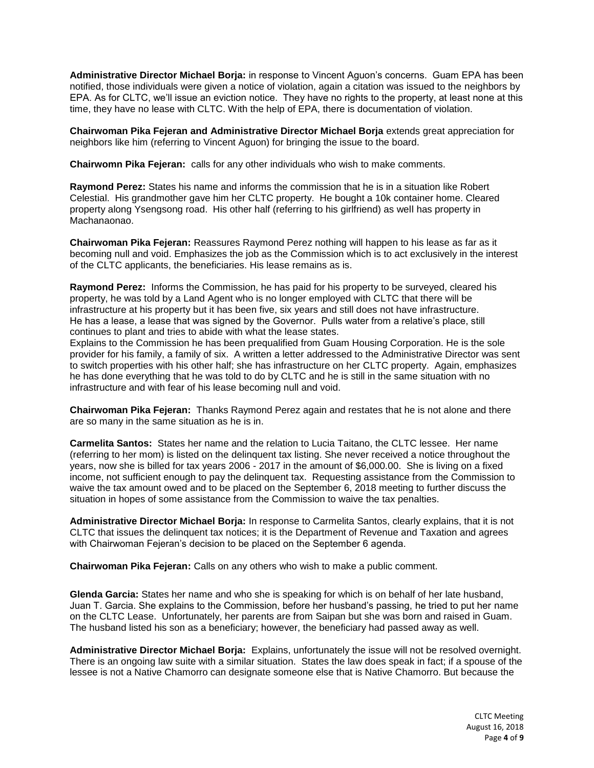**Administrative Director Michael Borja:** in response to Vincent Aguon's concerns. Guam EPA has been notified, those individuals were given a notice of violation, again a citation was issued to the neighbors by EPA. As for CLTC, we'll issue an eviction notice. They have no rights to the property, at least none at this time, they have no lease with CLTC. With the help of EPA, there is documentation of violation.

**Chairwoman Pika Fejeran and Administrative Director Michael Borja** extends great appreciation for neighbors like him (referring to Vincent Aguon) for bringing the issue to the board.

**Chairwomn Pika Fejeran:** calls for any other individuals who wish to make comments.

**Raymond Perez:** States his name and informs the commission that he is in a situation like Robert Celestial. His grandmother gave him her CLTC property. He bought a 10k container home. Cleared property along Ysengsong road. His other half (referring to his girlfriend) as well has property in Machanaonao.

**Chairwoman Pika Fejeran:** Reassures Raymond Perez nothing will happen to his lease as far as it becoming null and void. Emphasizes the job as the Commission which is to act exclusively in the interest of the CLTC applicants, the beneficiaries. His lease remains as is.

**Raymond Perez:** Informs the Commission, he has paid for his property to be surveyed, cleared his property, he was told by a Land Agent who is no longer employed with CLTC that there will be infrastructure at his property but it has been five, six years and still does not have infrastructure. He has a lease, a lease that was signed by the Governor. Pulls water from a relative's place, still continues to plant and tries to abide with what the lease states.

Explains to the Commission he has been prequalified from Guam Housing Corporation. He is the sole provider for his family, a family of six. A written a letter addressed to the Administrative Director was sent to switch properties with his other half; she has infrastructure on her CLTC property. Again, emphasizes he has done everything that he was told to do by CLTC and he is still in the same situation with no infrastructure and with fear of his lease becoming null and void.

**Chairwoman Pika Fejeran:** Thanks Raymond Perez again and restates that he is not alone and there are so many in the same situation as he is in.

**Carmelita Santos:** States her name and the relation to Lucia Taitano, the CLTC lessee. Her name (referring to her mom) is listed on the delinquent tax listing. She never received a notice throughout the years, now she is billed for tax years 2006 - 2017 in the amount of \$6,000.00. She is living on a fixed income, not sufficient enough to pay the delinquent tax. Requesting assistance from the Commission to waive the tax amount owed and to be placed on the September 6, 2018 meeting to further discuss the situation in hopes of some assistance from the Commission to waive the tax penalties.

**Administrative Director Michael Borja:** In response to Carmelita Santos, clearly explains, that it is not CLTC that issues the delinquent tax notices; it is the Department of Revenue and Taxation and agrees with Chairwoman Fejeran's decision to be placed on the September 6 agenda.

**Chairwoman Pika Fejeran:** Calls on any others who wish to make a public comment.

**Glenda Garcia:** States her name and who she is speaking for which is on behalf of her late husband, Juan T. Garcia. She explains to the Commission, before her husband's passing, he tried to put her name on the CLTC Lease. Unfortunately, her parents are from Saipan but she was born and raised in Guam. The husband listed his son as a beneficiary; however, the beneficiary had passed away as well.

**Administrative Director Michael Borja:** Explains, unfortunately the issue will not be resolved overnight. There is an ongoing law suite with a similar situation. States the law does speak in fact; if a spouse of the lessee is not a Native Chamorro can designate someone else that is Native Chamorro. But because the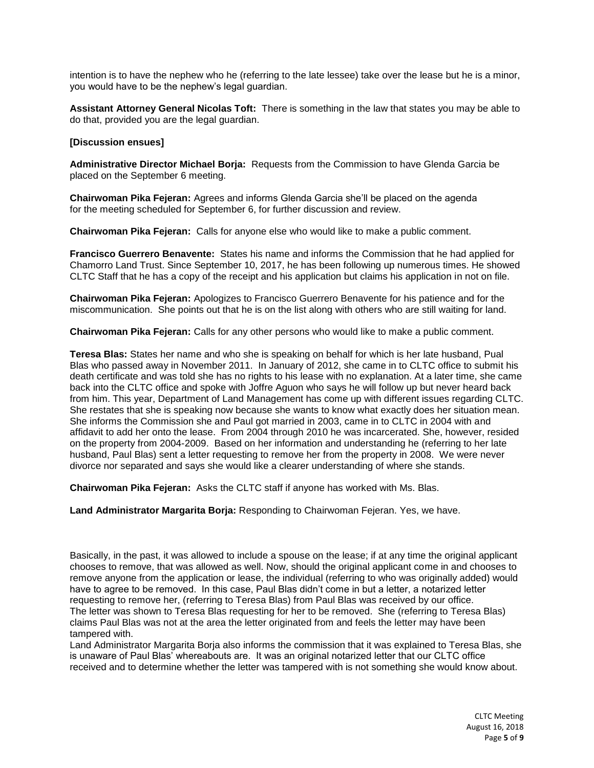intention is to have the nephew who he (referring to the late lessee) take over the lease but he is a minor, you would have to be the nephew's legal guardian.

**Assistant Attorney General Nicolas Toft:** There is something in the law that states you may be able to do that, provided you are the legal guardian.

#### **[Discussion ensues]**

**Administrative Director Michael Borja:** Requests from the Commission to have Glenda Garcia be placed on the September 6 meeting.

**Chairwoman Pika Fejeran:** Agrees and informs Glenda Garcia she'll be placed on the agenda for the meeting scheduled for September 6, for further discussion and review.

**Chairwoman Pika Fejeran:** Calls for anyone else who would like to make a public comment.

**Francisco Guerrero Benavente:** States his name and informs the Commission that he had applied for Chamorro Land Trust. Since September 10, 2017, he has been following up numerous times. He showed CLTC Staff that he has a copy of the receipt and his application but claims his application in not on file.

**Chairwoman Pika Fejeran:** Apologizes to Francisco Guerrero Benavente for his patience and for the miscommunication. She points out that he is on the list along with others who are still waiting for land.

**Chairwoman Pika Fejeran:** Calls for any other persons who would like to make a public comment.

**Teresa Blas:** States her name and who she is speaking on behalf for which is her late husband, Pual Blas who passed away in November 2011. In January of 2012, she came in to CLTC office to submit his death certificate and was told she has no rights to his lease with no explanation. At a later time, she came back into the CLTC office and spoke with Joffre Aguon who says he will follow up but never heard back from him. This year, Department of Land Management has come up with different issues regarding CLTC. She restates that she is speaking now because she wants to know what exactly does her situation mean. She informs the Commission she and Paul got married in 2003, came in to CLTC in 2004 with and affidavit to add her onto the lease. From 2004 through 2010 he was incarcerated. She, however, resided on the property from 2004-2009. Based on her information and understanding he (referring to her late husband, Paul Blas) sent a letter requesting to remove her from the property in 2008. We were never divorce nor separated and says she would like a clearer understanding of where she stands.

**Chairwoman Pika Fejeran:** Asks the CLTC staff if anyone has worked with Ms. Blas.

**Land Administrator Margarita Borja:** Responding to Chairwoman Fejeran. Yes, we have.

Basically, in the past, it was allowed to include a spouse on the lease; if at any time the original applicant chooses to remove, that was allowed as well. Now, should the original applicant come in and chooses to remove anyone from the application or lease, the individual (referring to who was originally added) would have to agree to be removed. In this case, Paul Blas didn't come in but a letter, a notarized letter requesting to remove her, (referring to Teresa Blas) from Paul Blas was received by our office. The letter was shown to Teresa Blas requesting for her to be removed. She (referring to Teresa Blas) claims Paul Blas was not at the area the letter originated from and feels the letter may have been tampered with.

Land Administrator Margarita Borja also informs the commission that it was explained to Teresa Blas, she is unaware of Paul Blas' whereabouts are. It was an original notarized letter that our CLTC office received and to determine whether the letter was tampered with is not something she would know about.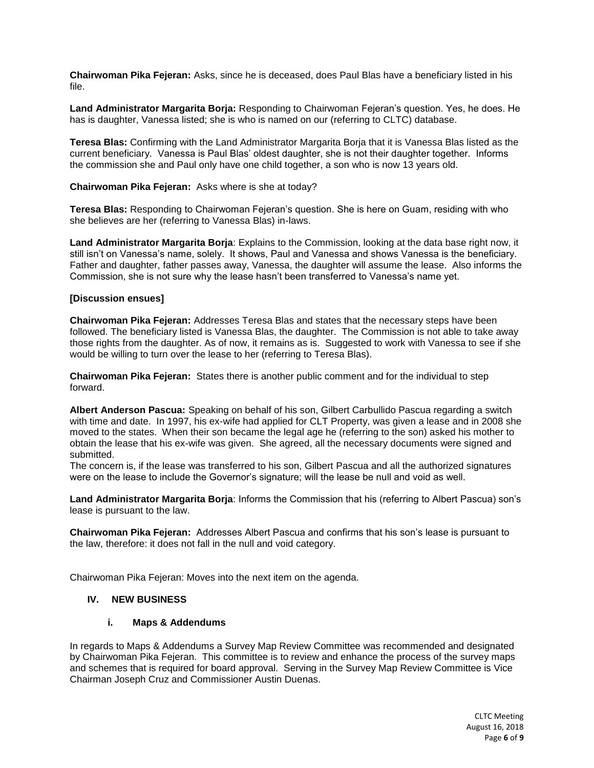**Chairwoman Pika Fejeran:** Asks, since he is deceased, does Paul Blas have a beneficiary listed in his file.

**Land Administrator Margarita Borja:** Responding to Chairwoman Fejeran's question. Yes, he does. He has is daughter, Vanessa listed; she is who is named on our (referring to CLTC) database.

**Teresa Blas:** Confirming with the Land Administrator Margarita Borja that it is Vanessa Blas listed as the current beneficiary. Vanessa is Paul Blas' oldest daughter, she is not their daughter together. Informs the commission she and Paul only have one child together, a son who is now 13 years old.

#### **Chairwoman Pika Fejeran:** Asks where is she at today?

**Teresa Blas:** Responding to Chairwoman Fejeran's question. She is here on Guam, residing with who she believes are her (referring to Vanessa Blas) in-laws.

**Land Administrator Margarita Borja**: Explains to the Commission, looking at the data base right now, it still isn't on Vanessa's name, solely. It shows, Paul and Vanessa and shows Vanessa is the beneficiary. Father and daughter, father passes away, Vanessa, the daughter will assume the lease. Also informs the Commission, she is not sure why the lease hasn't been transferred to Vanessa's name yet.

#### **[Discussion ensues]**

**Chairwoman Pika Fejeran:** Addresses Teresa Blas and states that the necessary steps have been followed. The beneficiary listed is Vanessa Blas, the daughter. The Commission is not able to take away those rights from the daughter. As of now, it remains as is. Suggested to work with Vanessa to see if she would be willing to turn over the lease to her (referring to Teresa Blas).

**Chairwoman Pika Fejeran:** States there is another public comment and for the individual to step forward.

**Albert Anderson Pascua:** Speaking on behalf of his son, Gilbert Carbullido Pascua regarding a switch with time and date. In 1997, his ex-wife had applied for CLT Property, was given a lease and in 2008 she moved to the states. When their son became the legal age he (referring to the son) asked his mother to obtain the lease that his ex-wife was given. She agreed, all the necessary documents were signed and submitted.

The concern is, if the lease was transferred to his son, Gilbert Pascua and all the authorized signatures were on the lease to include the Governor's signature; will the lease be null and void as well.

**Land Administrator Margarita Borja**: Informs the Commission that his (referring to Albert Pascua) son's lease is pursuant to the law.

**Chairwoman Pika Fejeran:** Addresses Albert Pascua and confirms that his son's lease is pursuant to the law, therefore: it does not fall in the null and void category.

Chairwoman Pika Fejeran: Moves into the next item on the agenda.

# **IV. NEW BUSINESS**

# **i. Maps & Addendums**

In regards to Maps & Addendums a Survey Map Review Committee was recommended and designated by Chairwoman Pika Fejeran. This committee is to review and enhance the process of the survey maps and schemes that is required for board approval. Serving in the Survey Map Review Committee is Vice Chairman Joseph Cruz and Commissioner Austin Duenas.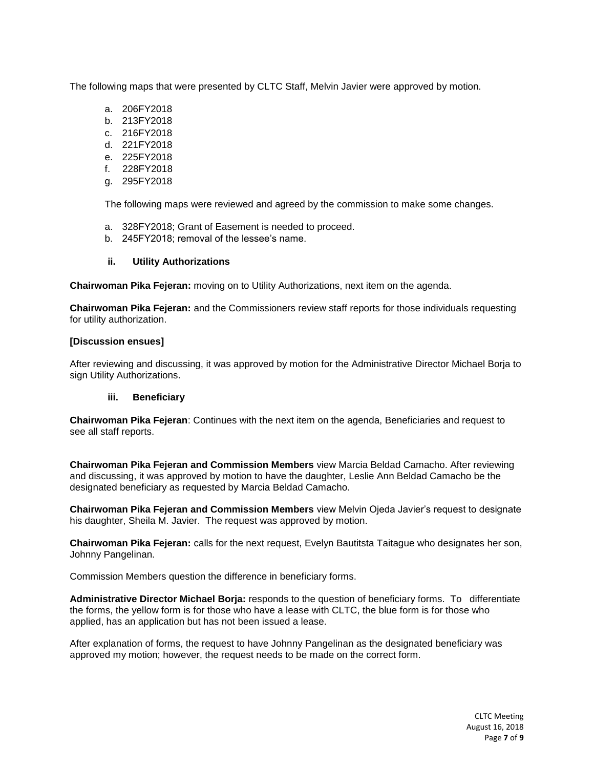The following maps that were presented by CLTC Staff, Melvin Javier were approved by motion.

- a. 206FY2018
- b. 213FY2018
- c. 216FY2018
- d. 221FY2018
- e. 225FY2018
- f. 228FY2018
- g. 295FY2018

The following maps were reviewed and agreed by the commission to make some changes.

- a. 328FY2018; Grant of Easement is needed to proceed.
- b. 245FY2018; removal of the lessee's name.

# **ii. Utility Authorizations**

**Chairwoman Pika Fejeran:** moving on to Utility Authorizations, next item on the agenda.

**Chairwoman Pika Fejeran:** and the Commissioners review staff reports for those individuals requesting for utility authorization.

# **[Discussion ensues]**

After reviewing and discussing, it was approved by motion for the Administrative Director Michael Borja to sign Utility Authorizations.

# **iii. Beneficiary**

**Chairwoman Pika Fejeran**: Continues with the next item on the agenda, Beneficiaries and request to see all staff reports.

**Chairwoman Pika Fejeran and Commission Members** view Marcia Beldad Camacho. After reviewing and discussing, it was approved by motion to have the daughter, Leslie Ann Beldad Camacho be the designated beneficiary as requested by Marcia Beldad Camacho.

**Chairwoman Pika Fejeran and Commission Members** view Melvin Ojeda Javier's request to designate his daughter, Sheila M. Javier. The request was approved by motion.

**Chairwoman Pika Fejeran:** calls for the next request, Evelyn Bautitsta Taitague who designates her son, Johnny Pangelinan.

Commission Members question the difference in beneficiary forms.

**Administrative Director Michael Borja:** responds to the question of beneficiary forms. To differentiate the forms, the yellow form is for those who have a lease with CLTC, the blue form is for those who applied, has an application but has not been issued a lease.

After explanation of forms, the request to have Johnny Pangelinan as the designated beneficiary was approved my motion; however, the request needs to be made on the correct form.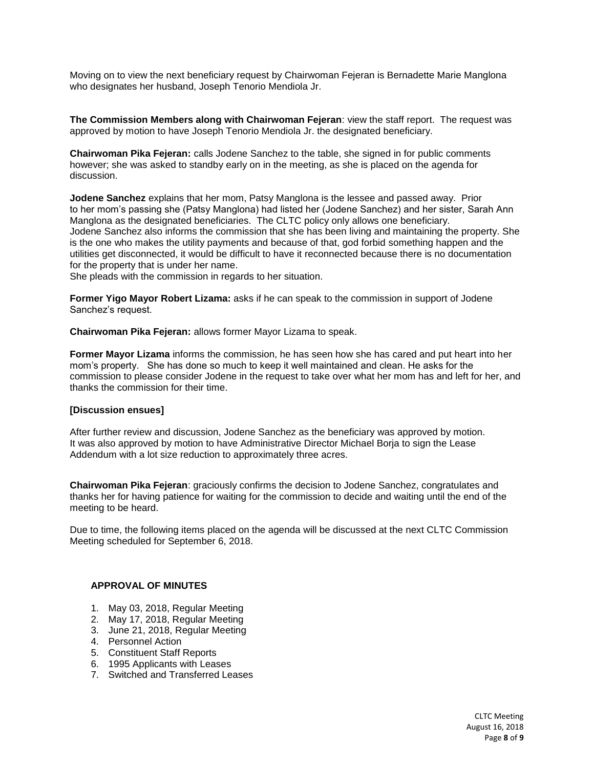Moving on to view the next beneficiary request by Chairwoman Fejeran is Bernadette Marie Manglona who designates her husband, Joseph Tenorio Mendiola Jr.

**The Commission Members along with Chairwoman Fejeran**: view the staff report. The request was approved by motion to have Joseph Tenorio Mendiola Jr. the designated beneficiary.

**Chairwoman Pika Fejeran:** calls Jodene Sanchez to the table, she signed in for public comments however; she was asked to standby early on in the meeting, as she is placed on the agenda for discussion.

**Jodene Sanchez** explains that her mom, Patsy Manglona is the lessee and passed away. Prior to her mom's passing she (Patsy Manglona) had listed her (Jodene Sanchez) and her sister, Sarah Ann Manglona as the designated beneficiaries. The CLTC policy only allows one beneficiary. Jodene Sanchez also informs the commission that she has been living and maintaining the property. She is the one who makes the utility payments and because of that, god forbid something happen and the utilities get disconnected, it would be difficult to have it reconnected because there is no documentation for the property that is under her name.

She pleads with the commission in regards to her situation.

**Former Yigo Mayor Robert Lizama:** asks if he can speak to the commission in support of Jodene Sanchez's request.

**Chairwoman Pika Fejeran:** allows former Mayor Lizama to speak.

**Former Mayor Lizama** informs the commission, he has seen how she has cared and put heart into her mom's property. She has done so much to keep it well maintained and clean. He asks for the commission to please consider Jodene in the request to take over what her mom has and left for her, and thanks the commission for their time.

# **[Discussion ensues]**

After further review and discussion, Jodene Sanchez as the beneficiary was approved by motion. It was also approved by motion to have Administrative Director Michael Borja to sign the Lease Addendum with a lot size reduction to approximately three acres.

**Chairwoman Pika Fejeran**: graciously confirms the decision to Jodene Sanchez, congratulates and thanks her for having patience for waiting for the commission to decide and waiting until the end of the meeting to be heard.

Due to time, the following items placed on the agenda will be discussed at the next CLTC Commission Meeting scheduled for September 6, 2018.

# **APPROVAL OF MINUTES**

- 1. May 03, 2018, Regular Meeting
- 2. May 17, 2018, Regular Meeting
- 3. June 21, 2018, Regular Meeting
- 4. Personnel Action
- 5. Constituent Staff Reports
- 6. 1995 Applicants with Leases
- 7. Switched and Transferred Leases